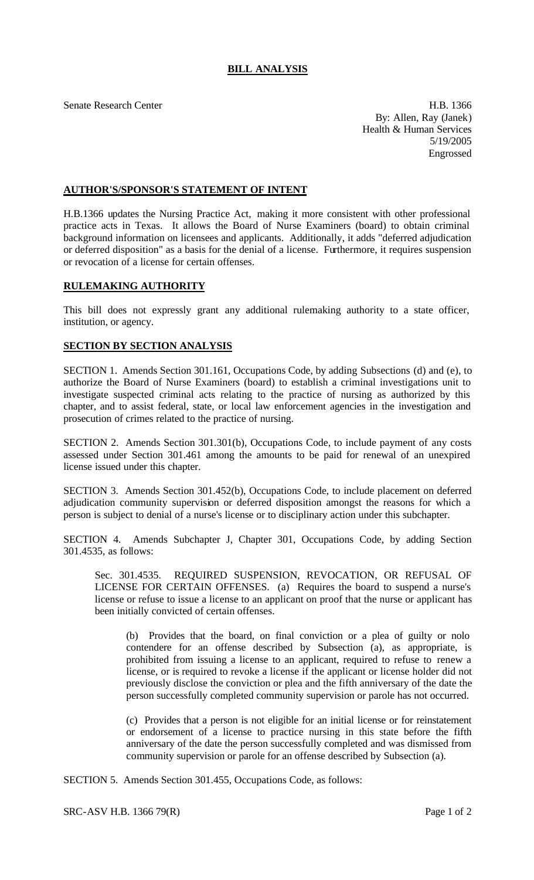## **BILL ANALYSIS**

Senate Research Center **H.B. 1366** By: Allen, Ray (Janek) Health & Human Services 5/19/2005 Engrossed

## **AUTHOR'S/SPONSOR'S STATEMENT OF INTENT**

H.B.1366 updates the Nursing Practice Act, making it more consistent with other professional practice acts in Texas. It allows the Board of Nurse Examiners (board) to obtain criminal background information on licensees and applicants. Additionally, it adds "deferred adjudication or deferred disposition" as a basis for the denial of a license. Furthermore, it requires suspension or revocation of a license for certain offenses.

## **RULEMAKING AUTHORITY**

This bill does not expressly grant any additional rulemaking authority to a state officer, institution, or agency.

## **SECTION BY SECTION ANALYSIS**

SECTION 1. Amends Section 301.161, Occupations Code, by adding Subsections (d) and (e), to authorize the Board of Nurse Examiners (board) to establish a criminal investigations unit to investigate suspected criminal acts relating to the practice of nursing as authorized by this chapter, and to assist federal, state, or local law enforcement agencies in the investigation and prosecution of crimes related to the practice of nursing.

SECTION 2. Amends Section 301.301(b), Occupations Code, to include payment of any costs assessed under Section 301.461 among the amounts to be paid for renewal of an unexpired license issued under this chapter.

SECTION 3. Amends Section 301.452(b), Occupations Code, to include placement on deferred adjudication community supervision or deferred disposition amongst the reasons for which a person is subject to denial of a nurse's license or to disciplinary action under this subchapter.

SECTION 4. Amends Subchapter J, Chapter 301, Occupations Code, by adding Section 301.4535, as follows:

Sec. 301.4535. REQUIRED SUSPENSION, REVOCATION, OR REFUSAL OF LICENSE FOR CERTAIN OFFENSES. (a) Requires the board to suspend a nurse's license or refuse to issue a license to an applicant on proof that the nurse or applicant has been initially convicted of certain offenses.

(b) Provides that the board, on final conviction or a plea of guilty or nolo contendere for an offense described by Subsection (a), as appropriate, is prohibited from issuing a license to an applicant, required to refuse to renew a license, or is required to revoke a license if the applicant or license holder did not previously disclose the conviction or plea and the fifth anniversary of the date the person successfully completed community supervision or parole has not occurred.

(c) Provides that a person is not eligible for an initial license or for reinstatement or endorsement of a license to practice nursing in this state before the fifth anniversary of the date the person successfully completed and was dismissed from community supervision or parole for an offense described by Subsection (a).

SECTION 5. Amends Section 301.455, Occupations Code, as follows: